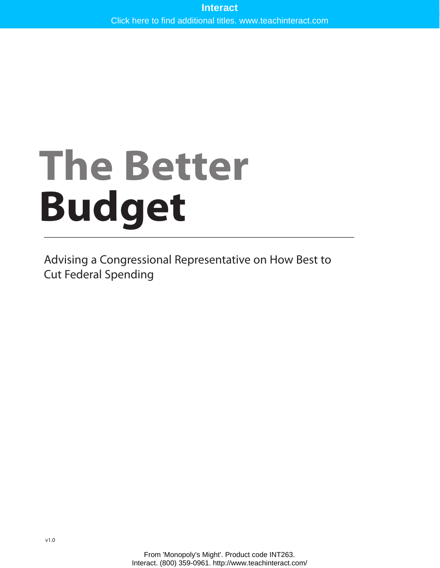# **The Better Budget**

Advising a Congressional Representative on How Best to Cut Federal Spending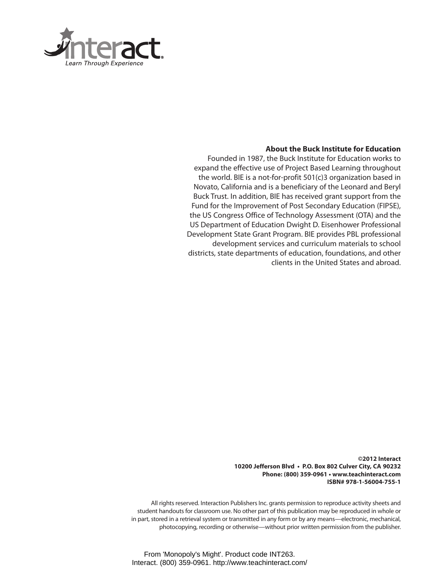

#### **About the Buck Institute for Education**

Founded in 1987, the Buck Institute for Education works to expand the effective use of Project Based Learning throughout the world. BIE is a not-for-profit 501(c)3 organization based in Novato, California and is a beneficiary of the Leonard and Beryl Buck Trust. In addition, BIE has received grant support from the Fund for the Improvement of Post Secondary Education (FIPSE), the US Congress Office of Technology Assessment (OTA) and the US Department of Education Dwight D. Eisenhower Professional Development State Grant Program. BIE provides PBL professional development services and curriculum materials to school districts, state departments of education, foundations, and other clients in the United States and abroad.

> **©2012 Interact 10200 Jefferson Blvd • P.O. Box 802 Culver City, CA 90232 Phone: (800) 359-0961 • www.teachinteract.com ISBN# 978-1-56004-755-1**

All rights reserved. Interaction Publishers Inc. grants permission to reproduce activity sheets and student handouts for classroom use. No other part of this publication may be reproduced in whole or in part, stored in a retrieval system or transmitted in any form or by any means—electronic, mechanical, photocopying, recording or otherwise—without prior written permission from the publisher.

From 'Monopoly's Might'. Product code INT263. Interact. (800) 359-0961. http://www.teachinteract.com/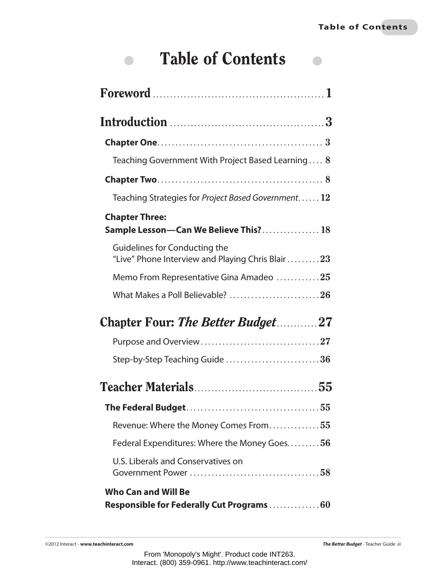$\begin{array}{c} \begin{array}{c} \begin{array}{c} \end{array} \end{array} \end{array}$ 

# Table of Contents

 $\bullet$ 

| Teaching Government With Project Based Learning 8                                    |
|--------------------------------------------------------------------------------------|
|                                                                                      |
| Teaching Strategies for Project Based Government 12                                  |
| <b>Chapter Three:</b><br>Sample Lesson-Can We Believe This? 18                       |
| Guidelines for Conducting the<br>"Live" Phone Interview and Playing Chris Blair $23$ |
| Memo From Representative Gina Amadeo 25                                              |
| What Makes a Poll Believable? 26                                                     |
| <b>Chapter Four: The Better Budget27</b>                                             |
|                                                                                      |
| Step-by-Step Teaching Guide 36                                                       |
|                                                                                      |
|                                                                                      |
| Revenue: Where the Money Comes From55                                                |
| Federal Expenditures: Where the Money Goes56                                         |
| U.S. Liberals and Conservatives on                                                   |
| <b>Who Can and Will Be</b><br>Responsible for Federally Cut Programs  60             |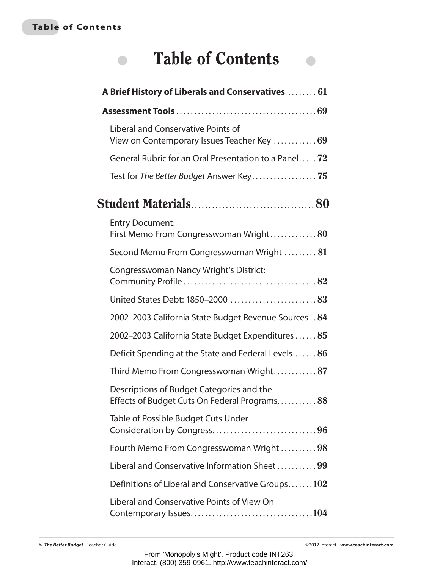#### **Table of Contents**

 $\begin{array}{c} \bullet \\ \bullet \end{array}$ 

# Table of Contents

 $\begin{array}{c} \begin{array}{c} \begin{array}{c} \begin{array}{c} \end{array} \end{array} \end{array} \end{array} \end{array}$ 

| A Brief History of Liberals and Conservatives  61                                         |
|-------------------------------------------------------------------------------------------|
|                                                                                           |
| Liberal and Conservative Points of<br>View on Contemporary Issues Teacher Key  69         |
| General Rubric for an Oral Presentation to a Panel 72                                     |
| Test for The Better Budget Answer Key 75                                                  |
|                                                                                           |
| <b>Entry Document:</b><br>First Memo From Congresswoman Wright80                          |
| Second Memo From Congresswoman Wright 81                                                  |
| Congresswoman Nancy Wright's District:                                                    |
| United States Debt: 1850-2000 83                                                          |
| 2002-2003 California State Budget Revenue Sources 84                                      |
| 2002-2003 California State Budget Expenditures  85                                        |
| Deficit Spending at the State and Federal Levels $\ldots \ldots 86$                       |
| Third Memo From Congresswoman Wright87                                                    |
| Descriptions of Budget Categories and the<br>Effects of Budget Cuts On Federal Programs88 |
| Table of Possible Budget Cuts Under                                                       |
| Fourth Memo From Congresswoman Wright 98                                                  |
| Liberal and Conservative Information Sheet 99                                             |
| Definitions of Liberal and Conservative Groups102                                         |
| Liberal and Conservative Points of View On                                                |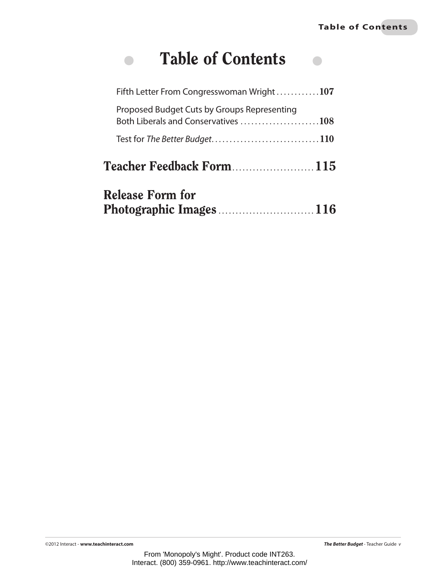# Table of Contents

 $\bullet$ 

| <b>Release Form for</b><br>Photographic Images116                                  |  |
|------------------------------------------------------------------------------------|--|
| <b>Teacher Feedback Form115</b>                                                    |  |
|                                                                                    |  |
| Proposed Budget Cuts by Groups Representing<br>Both Liberals and Conservatives 108 |  |
| Fifth Letter From Congresswoman Wright $\dots\dots\dots107$                        |  |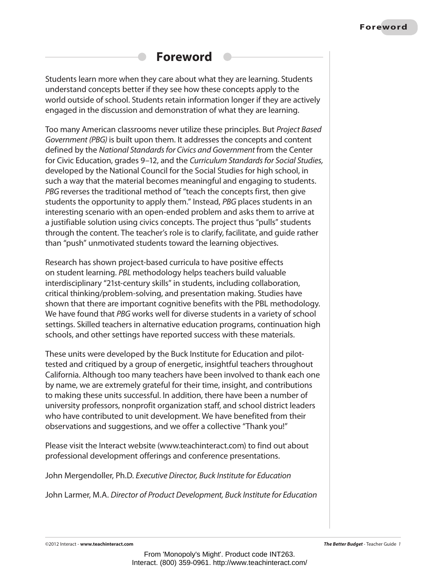# **Foreword**

Students learn more when they care about what they are learning. Students understand concepts better if they see how these concepts apply to the world outside of school. Students retain information longer if they are actively engaged in the discussion and demonstration of what they are learning.

Too many American classrooms never utilize these principles. But *Project Based Government (PBG)* is built upon them. It addresses the concepts and content defined by the *National Standards for Civics and Government* from the Center for Civic Education, grades 9–12, and the *Curriculum Standards for Social Studies,*  developed by the National Council for the Social Studies for high school, in such a way that the material becomes meaningful and engaging to students. *PBG* reverses the traditional method of "teach the concepts first, then give students the opportunity to apply them." Instead, *PBG* places students in an interesting scenario with an open-ended problem and asks them to arrive at a justifiable solution using civics concepts. The project thus "pulls" students through the content. The teacher's role is to clarify, facilitate, and guide rather than "push" unmotivated students toward the learning objectives.

Research has shown project-based curricula to have positive effects on student learning. *PBL* methodology helps teachers build valuable interdisciplinary "21st-century skills" in students, including collaboration, critical thinking/problem-solving, and presentation making. Studies have shown that there are important cognitive benefits with the PBL methodology. We have found that *PBG* works well for diverse students in a variety of school settings. Skilled teachers in alternative education programs, continuation high schools, and other settings have reported success with these materials.

These units were developed by the Buck Institute for Education and pilottested and critiqued by a group of energetic, insightful teachers throughout California. Although too many teachers have been involved to thank each one by name, we are extremely grateful for their time, insight, and contributions to making these units successful. In addition, there have been a number of university professors, nonprofit organization staff, and school district leaders who have contributed to unit development. We have benefited from their observations and suggestions, and we offer a collective "Thank you!"

Please visit the Interact website [\(www.teachinteract.com\)](http://www.teachinteract.com) to find out about professional development offerings and conference presentations.

John Mergendoller, Ph.D. *Executive Director, Buck Institute for Education*

John Larmer, M.A. *Director of Product Development, Buck Institute for Education*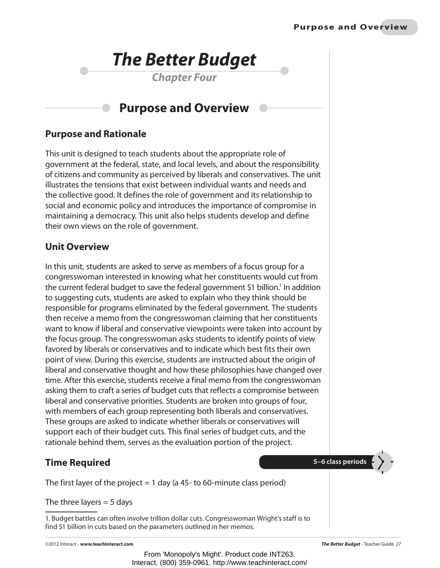

*Chapter Four*

# **Purpose and Overview**

## **Purpose and Rationale**

This unit is designed to teach students about the appropriate role of government at the federal, state, and local levels, and about the responsibility of citizens and community as perceived by liberals and conservatives. The unit illustrates the tensions that exist between individual wants and needs and the collective good. It defines the role of government and its relationship to social and economic policy and introduces the importance of compromise in maintaining a democracy. This unit also helps students develop and define their own views on the role of government.

### **Unit Overview**

In this unit, students are asked to serve as members of a focus group for a congresswoman interested in knowing what her constituents would cut from the current federal budget to save the federal government \$1 billion.<sup>1</sup> In addition to suggesting cuts, students are asked to explain who they think should be responsible for programs eliminated by the federal government. The students then receive a memo from the congresswoman claiming that her constituents want to know if liberal and conservative viewpoints were taken into account by the focus group. The congresswoman asks students to identify points of view favored by liberals or conservatives and to indicate which best fits their own point of view. During this exercise, students are instructed about the origin of liberal and conservative thought and how these philosophies have changed over time. After this exercise, students receive a final memo from the congresswoman asking them to craft a series of budget cuts that reflects a compromise between liberal and conservative priorities. Students are broken into groups of four, with members of each group representing both liberals and conservatives. These groups are asked to indicate whether liberals or conservatives will support each of their budget cuts. This final series of budget cuts, and the rationale behind them, serves as the evaluation portion of the project.

# **Time Required**

The first layer of the project  $= 1$  day (a 45- to 60-minute class period)

The three layers  $=$  5 days

1. Budget battles can often involve trillion dollar cuts. Congresswoman Wright's staff is to find \$1 billion in cuts based on the parameters outlined in her memos.

©2012 Interact - **www.teachinteract.com** *The Better Budget* - Teacher Guide *27*

From 'Monopoly's Might'. Product code INT263. Interact. (800) 359-0961. http://www.teachinteract.com/

**5–6 class periods**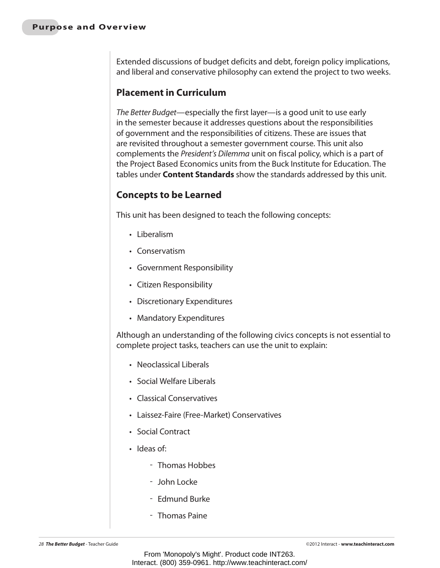Extended discussions of budget deficits and debt, foreign policy implications, and liberal and conservative philosophy can extend the project to two weeks.

#### **Placement in Curriculum**

*The Better Budget*—especially the first layer—is a good unit to use early in the semester because it addresses questions about the responsibilities of government and the responsibilities of citizens. These are issues that are revisited throughout a semester government course. This unit also complements the *President's Dilemma* unit on fiscal policy, which is a part of the Project Based Economics units from the Buck Institute for Education. The tables under **Content Standards** show the standards addressed by this unit.

#### **Concepts to be Learned**

This unit has been designed to teach the following concepts:

- • Liberalism
- • Conservatism
- • Government Responsibility
- • Citizen Responsibility
- • Discretionary Expenditures
- Mandatory Expenditures

Although an understanding of the following civics concepts is not essential to complete project tasks, teachers can use the unit to explain:

- • Neoclassical Liberals
- Social Welfare Liberals
- • Classical Conservatives
- Laissez-Faire (Free-Market) Conservatives
- • Social Contract
- Ideas of:
	- Thomas Hobbes
	- John Locke
	- Edmund Burke
	- Thomas Paine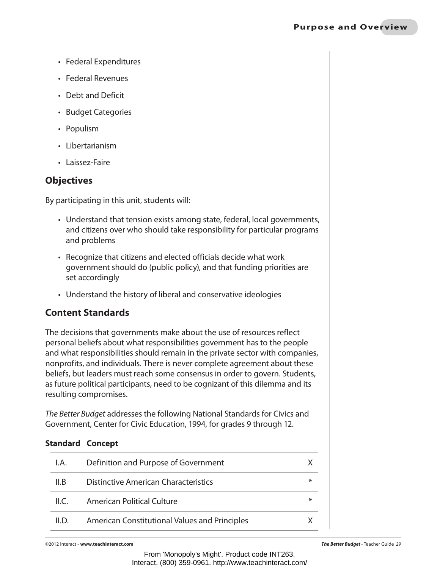- • Federal Expenditures
- • Federal Revenues
- • Debt and Deficit
- • Budget Categories
- Populism
- Libertarianism
- Laissez-Faire

## **Objectives**

By participating in this unit, students will:

- Understand that tension exists among state, federal, local governments, and citizens over who should take responsibility for particular programs and problems
- Recognize that citizens and elected officials decide what work government should do (public policy), and that funding priorities are set accordingly
- Understand the history of liberal and conservative ideologies

# **Content Standards**

The decisions that governments make about the use of resources reflect personal beliefs about what responsibilities government has to the people and what responsibilities should remain in the private sector with companies, nonprofits, and individuals. There is never complete agreement about these beliefs, but leaders must reach some consensus in order to govern. Students, as future political participants, need to be cognizant of this dilemma and its resulting compromises.

*The Better Budget* addresses the following National Standards for Civics and Government, Center for Civic Education, 1994, for grades 9 through 12.

| I.A.  | Definition and Purpose of Government          |   |
|-------|-----------------------------------------------|---|
| ILB   | Distinctive American Characteristics          | ∗ |
| ILC.  | American Political Culture                    | ⋇ |
| II.D. | American Constitutional Values and Principles |   |

©2012 Interact - **www.teachinteract.com** *The Better Budget* - Teacher Guide *29*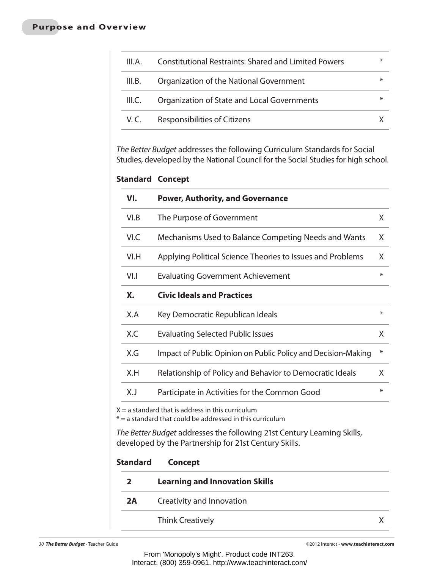| III.A. | <b>Constitutional Restraints: Shared and Limited Powers</b> | $\ast$ |
|--------|-------------------------------------------------------------|--------|
| III.B. | Organization of the National Government                     | ∗      |
| III.C. | Organization of State and Local Governments                 | ∗      |
| V.C.   | Responsibilities of Citizens                                |        |

*The Better Budget* addresses the following Curriculum Standards for Social Studies, developed by the National Council for the Social Studies for high school.

#### **Standard Concept**

| VI.                                                                                         | <b>Power, Authority, and Governance</b>                                                                                          |        |
|---------------------------------------------------------------------------------------------|----------------------------------------------------------------------------------------------------------------------------------|--------|
| VI.B                                                                                        | The Purpose of Government                                                                                                        | X      |
| VI.C                                                                                        | Mechanisms Used to Balance Competing Needs and Wants                                                                             |        |
| VI.H<br>Applying Political Science Theories to Issues and Problems                          |                                                                                                                                  |        |
| V1.1<br><b>Evaluating Government Achievement</b><br><b>Civic Ideals and Practices</b><br>Χ. |                                                                                                                                  |        |
|                                                                                             |                                                                                                                                  |        |
| X                                                                                           |                                                                                                                                  |        |
| $\ast$                                                                                      |                                                                                                                                  |        |
| X                                                                                           |                                                                                                                                  |        |
| X.J                                                                                         | Participate in Activities for the Common Good                                                                                    | $\ast$ |
|                                                                                             | $X = a$ standard that is address in this curriculum<br>$* = a$ standard that could be addressed in this curriculum               |        |
|                                                                                             | The Better Budget addresses the following 21st Century Learning Skills,<br>developed by the Partnership for 21st Century Skills. |        |
| <b>Standard</b>                                                                             | <b>Concept</b>                                                                                                                   |        |
| 2                                                                                           | <b>Learning and Innovation Skills</b>                                                                                            |        |
| 2A                                                                                          | Creativity and Innovation                                                                                                        |        |
|                                                                                             | <b>Think Creatively</b>                                                                                                          | X      |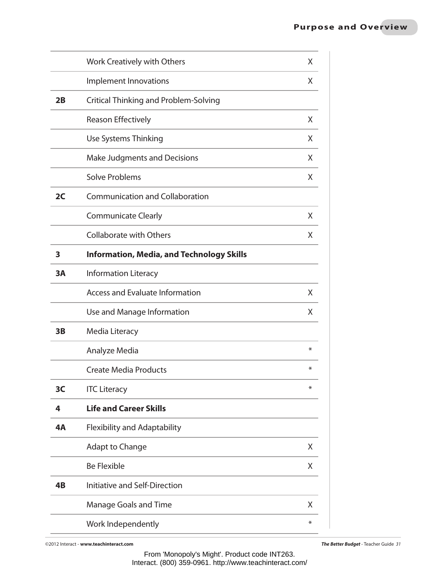|    | Work Creatively with Others                      | X |
|----|--------------------------------------------------|---|
|    | Implement Innovations                            | X |
| 2B | Critical Thinking and Problem-Solving            |   |
|    | <b>Reason Effectively</b>                        | X |
|    | Use Systems Thinking                             | X |
|    | <b>Make Judgments and Decisions</b>              | X |
|    | <b>Solve Problems</b>                            | X |
| 2C | <b>Communication and Collaboration</b>           |   |
|    | <b>Communicate Clearly</b>                       | X |
|    | <b>Collaborate with Others</b>                   | X |
| 3  | <b>Information, Media, and Technology Skills</b> |   |
| 3A | <b>Information Literacy</b>                      |   |
|    | <b>Access and Evaluate Information</b>           | X |
|    | Use and Manage Information                       | X |
| 3B | Media Literacy                                   |   |
|    | Analyze Media                                    | ⋇ |
|    | Create Media Products                            | ⋇ |
| 3C | <b>ITC Literacy</b>                              | ⋇ |
| 4  | <b>Life and Career Skills</b>                    |   |
| 4A | <b>Flexibility and Adaptability</b>              |   |
|    | <b>Adapt to Change</b>                           | X |
|    | <b>Be Flexible</b>                               | X |
| 4B | Initiative and Self-Direction                    |   |
|    | <b>Manage Goals and Time</b>                     | X |
|    | Work Independently                               | ⋇ |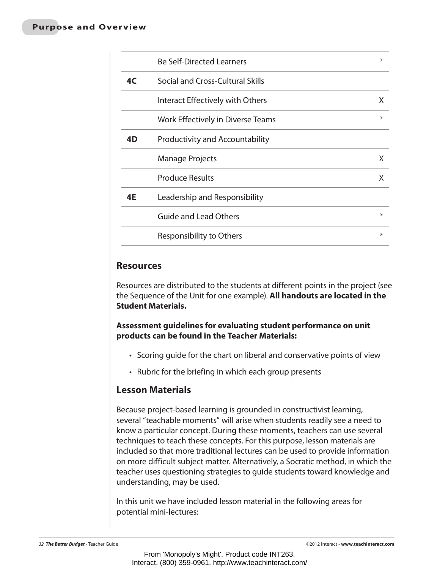|    | <b>Be Self-Directed Learners</b>  | ∗      |
|----|-----------------------------------|--------|
| 4C | Social and Cross-Cultural Skills  |        |
|    | Interact Effectively with Others  | X      |
|    | Work Effectively in Diverse Teams | $\ast$ |
| 4D | Productivity and Accountability   |        |
|    | <b>Manage Projects</b>            | X.     |
|    | <b>Produce Results</b>            | X      |
| 4E | Leadership and Responsibility     |        |
|    | <b>Guide and Lead Others</b>      | $\ast$ |
|    | Responsibility to Others          | $\ast$ |

#### **Resources**

Resources are distributed to the students at different points in the project (see the Sequence of the Unit for one example). **All handouts are located in the Student Materials.**

**Assessment guidelines for evaluating student performance on unit products can be found in the Teacher Materials:**

- Scoring guide for the chart on liberal and conservative points of view
- Rubric for the briefing in which each group presents

#### **Lesson Materials**

Because project-based learning is grounded in constructivist learning, several "teachable moments" will arise when students readily see a need to know a particular concept. During these moments, teachers can use several techniques to teach these concepts. For this purpose, lesson materials are included so that more traditional lectures can be used to provide information on more difficult subject matter. Alternatively, a Socratic method, in which the teacher uses questioning strategies to guide students toward knowledge and understanding, may be used.

In this unit we have included lesson material in the following areas for potential mini-lectures: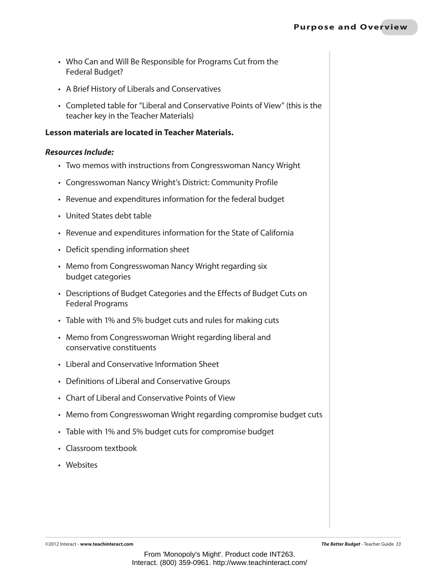- Who Can and Will Be Responsible for Programs Cut from the Federal Budget?
- • A Brief History of Liberals and Conservatives
- Completed table for "Liberal and Conservative Points of View" (this is the teacher key in the Teacher Materials)

#### **Lesson materials are located in Teacher Materials.**

#### *Resources Include:*

- Two memos with instructions from Congresswoman Nancy Wright
- • Congresswoman Nancy Wright's District: Community Profile
- Revenue and expenditures information for the federal budget
- • United States debt table
- Revenue and expenditures information for the State of California
- Deficit spending information sheet
- Memo from Congresswoman Nancy Wright regarding six budget categories
- Descriptions of Budget Categories and the Effects of Budget Cuts on Federal Programs
- Table with 1% and 5% budget cuts and rules for making cuts
- Memo from Congresswoman Wright regarding liberal and conservative constituents
- • Liberal and Conservative Information Sheet
- Definitions of Liberal and Conservative Groups
- • Chart of Liberal and Conservative Points of View
- Memo from Congresswoman Wright regarding compromise budget cuts
- Table with 1% and 5% budget cuts for compromise budget
- • Classroom textbook
- • Websites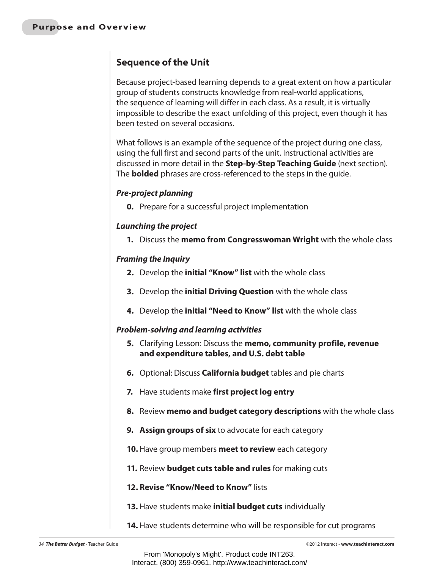# **Sequence of the Unit**

Because project-based learning depends to a great extent on how a particular group of students constructs knowledge from real-world applications, the sequence of learning will differ in each class. As a result, it is virtually impossible to describe the exact unfolding of this project, even though it has been tested on several occasions.

What follows is an example of the sequence of the project during one class, using the full first and second parts of the unit. Instructional activities are discussed in more detail in the **Step-by-Step Teaching Guide** (next section). The **bolded** phrases are cross-referenced to the steps in the guide.

#### *Pre-project planning*

**0.** Prepare for a successful project implementation

#### *Launching the project*

**1.** Discuss the **memo from Congresswoman Wright** with the whole class

#### *Framing the Inquiry*

- **2.** Develop the **initial "Know" list** with the whole class
- **3.** Develop the **initial Driving Question** with the whole class
- **4.** Develop the **initial "Need to Know" list** with the whole class

#### *Problem-solving and learning activities*

- **5.** Clarifying Lesson: Discuss the **memo, community profile, revenue and expenditure tables, and U.S. debt table**
- **6.** Optional: Discuss **California budget** tables and pie charts
- **7.** Have students make **first project log entry**
- **8.** Review **memo and budget category descriptions** with the whole class
- **9. Assign groups of six** to advocate for each category
- **10.** Have group members **meet to review** each category
- **11.** Review **budget cuts table and rules** for making cuts
- **12. Revise "Know/Need to Know"** lists
- **13.** Have students make **initial budget cuts** individually
- **14.** Have students determine who will be responsible for cut programs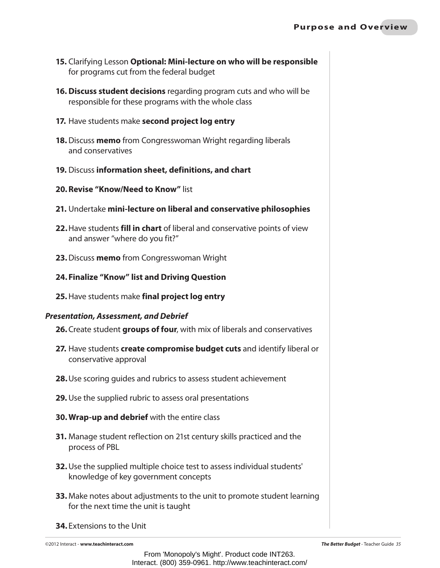- **15.** Clarifying Lesson **Optional: Mini-lecture on who will be responsible** for programs cut from the federal budget
- **16. Discuss student decisions** regarding program cuts and who will be responsible for these programs with the whole class
- **17.** Have students make **second project log entry**
- **18.** Discuss **memo** from Congresswoman Wright regarding liberals and conservatives
- **19.** Discuss **information sheet, definitions, and chart**
- **20.Revise "Know/Need to Know"** list
- **21.** Undertake **mini-lecture on liberal and conservative philosophies**
- **22.**Have students **fill in chart** of liberal and conservative points of view and answer "where do you fit?"
- **23.**Discuss **memo** from Congresswoman Wright
- **24. Finalize "Know" list and Driving Question**
- **25.**Have students make **final project log entry**

#### *Presentation, Assessment, and Debrief*

- **26.**Create student **groups of four**, with mix of liberals and conservatives
- **27.** Have students **create compromise budget cuts** and identify liberal or conservative approval
- **28.**Use scoring guides and rubrics to assess student achievement
- **29.** Use the supplied rubric to assess oral presentations
- **30. Wrap-up and debrief** with the entire class
- **31.** Manage student reflection on 21st century skills practiced and the process of PBL
- **32.**Use the supplied multiple choice test to assess individual students' knowledge of key government concepts
- **33.** Make notes about adjustments to the unit to promote student learning for the next time the unit is taught
- **34.** Extensions to the Unit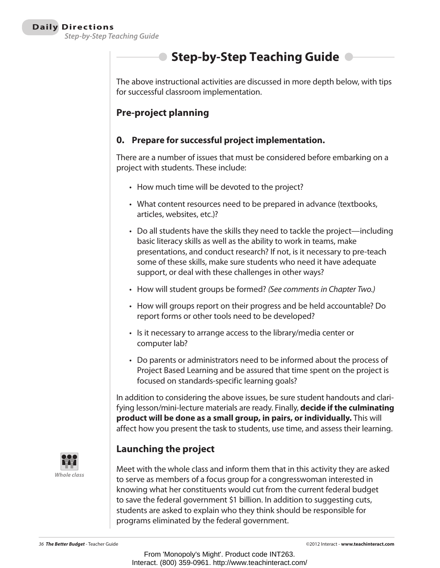# **• Step-by-Step Teaching Guide •**

The above instructional activities are discussed in more depth below, with tips for successful classroom implementation.

# **Pre-project planning**

#### **0. Prepare for successful project implementation.**

There are a number of issues that must be considered before embarking on a project with students. These include:

- How much time will be devoted to the project?
- What content resources need to be prepared in advance (textbooks, articles, websites, etc.)?
- Do all students have the skills they need to tackle the project—including basic literacy skills as well as the ability to work in teams, make presentations, and conduct research? If not, is it necessary to pre-teach some of these skills, make sure students who need it have adequate support, or deal with these challenges in other ways?
- • How will student groups be formed? *(See comments in Chapter Two.)*
- How will groups report on their progress and be held accountable? Do report forms or other tools need to be developed?
- Is it necessary to arrange access to the library/media center or computer lab?
- Do parents or administrators need to be informed about the process of Project Based Learning and be assured that time spent on the project is focused on standards-specific learning goals?

In addition to considering the above issues, be sure student handouts and clarifying lesson/mini-lecture materials are ready. Finally, **decide if the culminating product will be done as a small group, in pairs, or individually.** This will affect how you present the task to students, use time, and assess their learning.



# **Launching the project**

Meet with the whole class and inform them that in this activity they are asked to serve as members of a focus group for a congresswoman interested in knowing what her constituents would cut from the current federal budget to save the federal government \$1 billion. In addition to suggesting cuts, students are asked to explain who they think should be responsible for programs eliminated by the federal government.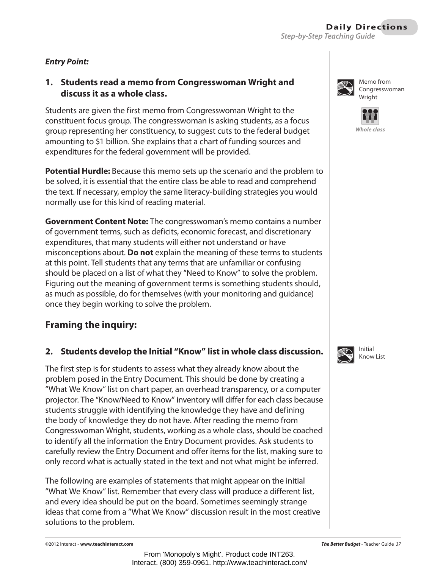#### **Daily Directions** *Step-by-Step Teaching Guide*

#### *Entry Point:*

#### **1. Students read a memo from Congresswoman Wright and discuss it as a whole class.**

Students are given the first memo from Congresswoman Wright to the constituent focus group. The congresswoman is asking students, as a focus group representing her constituency, to suggest cuts to the federal budget amounting to \$1 billion. She explains that a chart of funding sources and expenditures for the federal government will be provided.

**Potential Hurdle:** Because this memo sets up the scenario and the problem to be solved, it is essential that the entire class be able to read and comprehend the text. If necessary, employ the same literacy-building strategies you would normally use for this kind of reading material.

**Government Content Note:** The congresswoman's memo contains a number of government terms, such as deficits, economic forecast, and discretionary expenditures, that many students will either not understand or have misconceptions about. **Do not** explain the meaning of these terms to students at this point. Tell students that any terms that are unfamiliar or confusing should be placed on a list of what they "Need to Know" to solve the problem. Figuring out the meaning of government terms is something students should, as much as possible, do for themselves (with your monitoring and guidance) once they begin working to solve the problem.

## **Framing the inquiry:**

#### **2. Students develop the Initial "Know" list in whole class discussion.**

The first step is for students to assess what they already know about the problem posed in the Entry Document. This should be done by creating a "What We Know" list on chart paper, an overhead transparency, or a computer projector. The "Know/Need to Know" inventory will differ for each class because students struggle with identifying the knowledge they have and defining the body of knowledge they do not have. After reading the memo from Congresswoman Wright, students, working as a whole class, should be coached to identify all the information the Entry Document provides. Ask students to carefully review the Entry Document and offer items for the list, making sure to only record what is actually stated in the text and not what might be inferred.

The following are examples of statements that might appear on the initial "What We Know" list. Remember that every class will produce a different list, and every idea should be put on the board. Sometimes seemingly strange ideas that come from a "What We Know" discussion result in the most creative solutions to the problem.



Memo from Congresswoman Wright



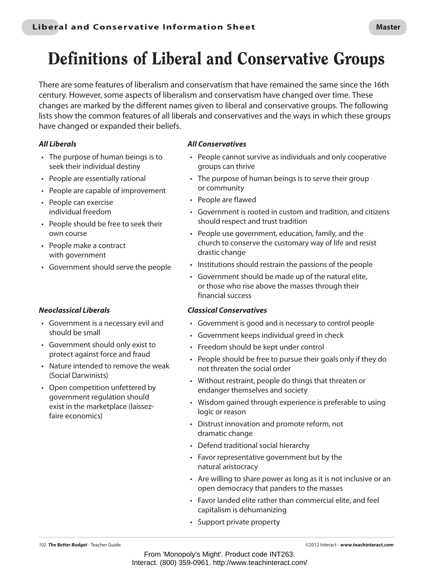# Definitions of Liberal and Conservative Groups

There are some features of liberalism and conservatism that have remained the same since the 16th century. However, some aspects of liberalism and conservatism have changed over time. These changes are marked by the different names given to liberal and conservative groups. The following lists show the common features of all liberals and conservatives and the ways in which these groups have changed or expanded their beliefs.

#### *All Liberals*

- The purpose of human beings is to seek their individual destiny
- People are essentially rational
- • People are capable of improvement
- • People can exercise individual freedom
- • People should be free to seek their own course
- • People make a contract with government
- • Government should serve the people

#### *Neoclassical Liberals*

- • Government is a necessary evil and should be small
- • Government should only exist to protect against force and fraud
- Nature intended to remove the weak (Social Darwinists)
- Open competition unfettered by government regulation should exist in the marketplace (laissezfaire economics)

#### *All Conservatives*

- People cannot survive as individuals and only cooperative groups can thrive
- The purpose of human beings is to serve their group or community
- • People are flawed
- • Government is rooted in custom and tradition, and citizens should respect and trust tradition
- People use government, education, family, and the church to conserve the customary way of life and resist drastic change
- Institutions should restrain the passions of the people
- • Government should be made up of the natural elite, or those who rise above the masses through their financial success

#### *Classical Conservatives*

- • Government is good and is necessary to control people
- • Government keeps individual greed in check
- • Freedom should be kept under control
- People should be free to pursue their goals only if they do not threaten the social order
- Without restraint, people do things that threaten or endanger themselves and society
- Wisdom gained through experience is preferable to using logic or reason
- • Distrust innovation and promote reform, not dramatic change
- Defend traditional social hierarchy
- • Favor representative government but by the natural aristocracy
- Are willing to share power as long as it is not inclusive or an open democracy that panders to the masses
- Favor landed elite rather than commercial elite, and feel capitalism is dehumanizing
- • Support private property